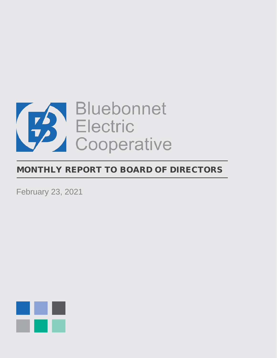

# MONTHLY REPORT TO BOARD OF DIRECTORS

February 23, 2021

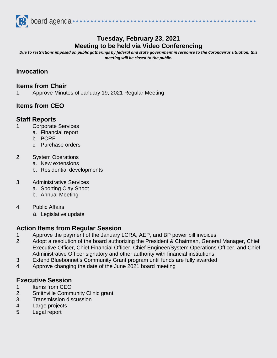

# **Tuesday, February 23, 2021 Meeting to be held via Video Conferencing**

................

*Due to restrictions imposed on public gatherings by federal and state government in response to the Coronavirus situation, this meeting will be closed to the public.*

#### **Invocation**

#### **Items from Chair**

1. Approve Minutes of January 19, 2021 Regular Meeting

## **Items from CEO**

#### **Staff Reports**

- 1. Corporate Services
	- a. Financial report
		- b. PCRF
		- c. Purchase orders
- 2. System Operations
	- a. New extensions
	- b. Residential developments
- 3. Administrative Services
	- a. Sporting Clay Shoot
	- b. Annual Meeting
- 4. Public Affairs
	- a. Legislative update

### **Action Items from Regular Session**

- 1. Approve the payment of the January LCRA, AEP, and BP power bill invoices
- 2. Adopt a resolution of the board authorizing the President & Chairman, General Manager, Chief Executive Officer, Chief Financial Officer, Chief Engineer/System Operations Officer, and Chief Administrative Officer signatory and other authority with financial institutions
- 3. Extend Bluebonnet's Community Grant program until funds are fully awarded
- 4. Approve changing the date of the June 2021 board meeting

### **Executive Session**

- 1. Items from CEO
- 2. Smithville Community Clinic grant
- 3. Transmission discussion
- 4. Large projects
- 5. Legal report